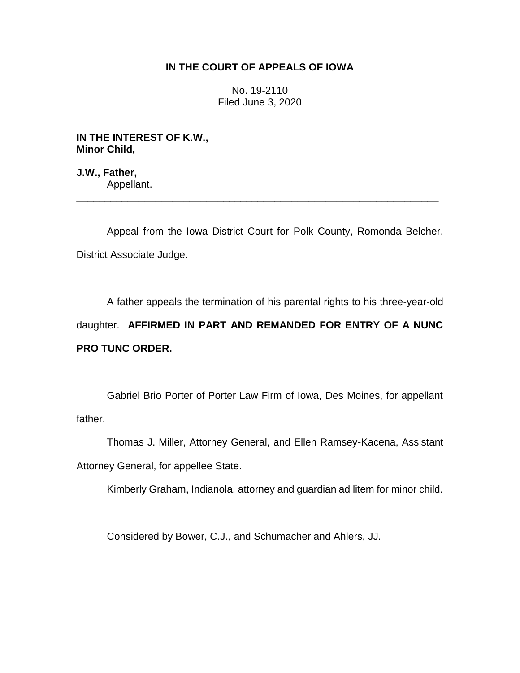## **IN THE COURT OF APPEALS OF IOWA**

No. 19-2110 Filed June 3, 2020

**IN THE INTEREST OF K.W., Minor Child,**

**J.W., Father,** Appellant.

Appeal from the Iowa District Court for Polk County, Romonda Belcher, District Associate Judge.

\_\_\_\_\_\_\_\_\_\_\_\_\_\_\_\_\_\_\_\_\_\_\_\_\_\_\_\_\_\_\_\_\_\_\_\_\_\_\_\_\_\_\_\_\_\_\_\_\_\_\_\_\_\_\_\_\_\_\_\_\_\_\_\_

A father appeals the termination of his parental rights to his three-year-old daughter. **AFFIRMED IN PART AND REMANDED FOR ENTRY OF A NUNC PRO TUNC ORDER.**

Gabriel Brio Porter of Porter Law Firm of Iowa, Des Moines, for appellant father.

Thomas J. Miller, Attorney General, and Ellen Ramsey-Kacena, Assistant Attorney General, for appellee State.

Kimberly Graham, Indianola, attorney and guardian ad litem for minor child.

Considered by Bower, C.J., and Schumacher and Ahlers, JJ.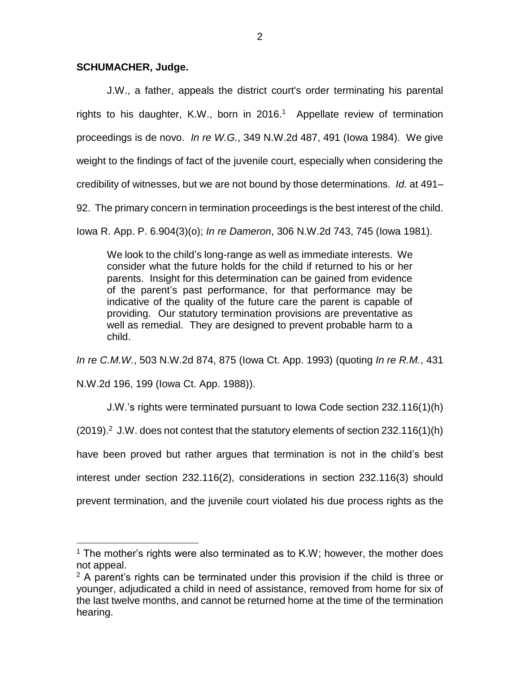## **SCHUMACHER, Judge.**

 $\overline{a}$ 

J.W., a father, appeals the district court's order terminating his parental rights to his daughter, K.W., born in 2016.<sup>1</sup> Appellate review of termination proceedings is de novo. *In re W.G.*, 349 N.W.2d 487, 491 (Iowa 1984). We give weight to the findings of fact of the juvenile court, especially when considering the credibility of witnesses, but we are not bound by those determinations. *Id.* at 491– 92. The primary concern in termination proceedings is the best interest of the child.

Iowa R. App. P. 6.904(3)(o); *In re Dameron*, 306 N.W.2d 743, 745 (Iowa 1981).

We look to the child's long-range as well as immediate interests. We consider what the future holds for the child if returned to his or her parents. Insight for this determination can be gained from evidence of the parent's past performance, for that performance may be indicative of the quality of the future care the parent is capable of providing. Our statutory termination provisions are preventative as well as remedial. They are designed to prevent probable harm to a child.

*In re C.M.W.*, 503 N.W.2d 874, 875 (Iowa Ct. App. 1993) (quoting *In re R.M.*, 431 N.W.2d 196, 199 (Iowa Ct. App. 1988)).

J.W.'s rights were terminated pursuant to Iowa Code section 232.116(1)(h)  $(2019).<sup>2</sup>$  J.W. does not contest that the statutory elements of section 232.116(1)(h) have been proved but rather argues that termination is not in the child's best interest under section 232.116(2), considerations in section 232.116(3) should prevent termination, and the juvenile court violated his due process rights as the

 $1$  The mother's rights were also terminated as to K.W; however, the mother does not appeal.

 $2$  A parent's rights can be terminated under this provision if the child is three or younger, adjudicated a child in need of assistance, removed from home for six of the last twelve months, and cannot be returned home at the time of the termination hearing.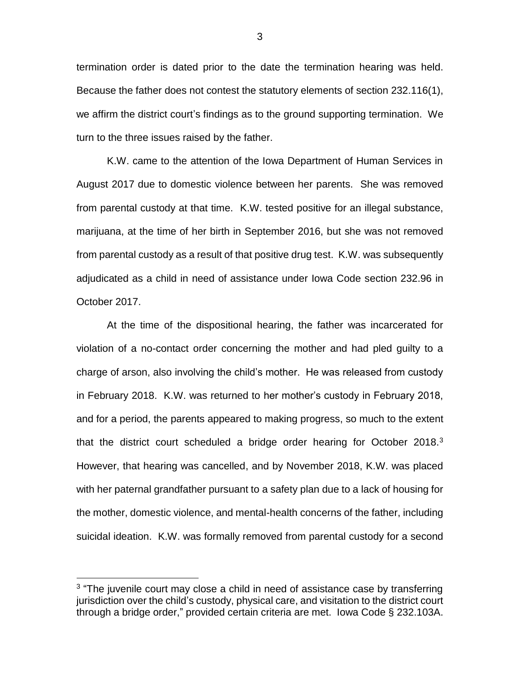termination order is dated prior to the date the termination hearing was held. Because the father does not contest the statutory elements of section 232.116(1), we affirm the district court's findings as to the ground supporting termination. We turn to the three issues raised by the father.

K.W. came to the attention of the Iowa Department of Human Services in August 2017 due to domestic violence between her parents. She was removed from parental custody at that time. K.W. tested positive for an illegal substance, marijuana, at the time of her birth in September 2016, but she was not removed from parental custody as a result of that positive drug test. K.W. was subsequently adjudicated as a child in need of assistance under Iowa Code section 232.96 in October 2017.

At the time of the dispositional hearing, the father was incarcerated for violation of a no-contact order concerning the mother and had pled guilty to a charge of arson, also involving the child's mother. He was released from custody in February 2018. K.W. was returned to her mother's custody in February 2018, and for a period, the parents appeared to making progress, so much to the extent that the district court scheduled a bridge order hearing for October 2018.<sup>3</sup> However, that hearing was cancelled, and by November 2018, K.W. was placed with her paternal grandfather pursuant to a safety plan due to a lack of housing for the mother, domestic violence, and mental-health concerns of the father, including suicidal ideation. K.W. was formally removed from parental custody for a second

 $\overline{a}$ 

<sup>&</sup>lt;sup>3</sup> "The juvenile court may close a child in need of assistance case by transferring jurisdiction over the child's custody, physical care, and visitation to the district court through a bridge order," provided certain criteria are met. Iowa Code § 232.103A.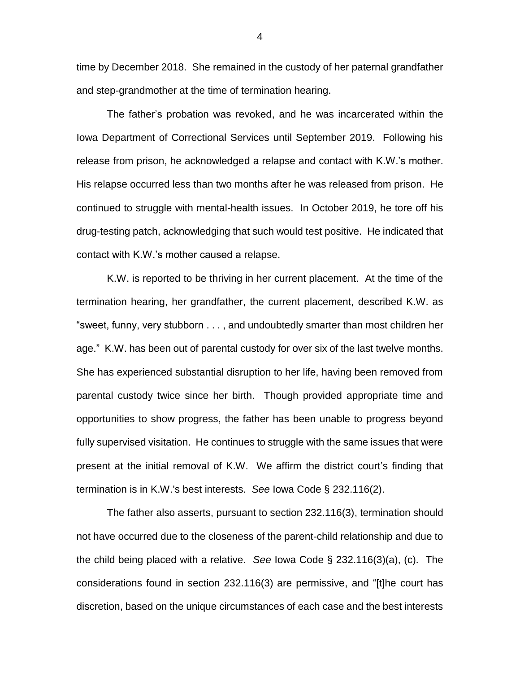time by December 2018. She remained in the custody of her paternal grandfather and step-grandmother at the time of termination hearing.

The father's probation was revoked, and he was incarcerated within the Iowa Department of Correctional Services until September 2019. Following his release from prison, he acknowledged a relapse and contact with K.W.'s mother. His relapse occurred less than two months after he was released from prison. He continued to struggle with mental-health issues. In October 2019, he tore off his drug-testing patch, acknowledging that such would test positive. He indicated that contact with K.W.'s mother caused a relapse.

K.W. is reported to be thriving in her current placement. At the time of the termination hearing, her grandfather, the current placement, described K.W. as "sweet, funny, very stubborn . . . , and undoubtedly smarter than most children her age." K.W. has been out of parental custody for over six of the last twelve months. She has experienced substantial disruption to her life, having been removed from parental custody twice since her birth. Though provided appropriate time and opportunities to show progress, the father has been unable to progress beyond fully supervised visitation. He continues to struggle with the same issues that were present at the initial removal of K.W. We affirm the district court's finding that termination is in K.W.'s best interests. *See* Iowa Code § 232.116(2).

The father also asserts, pursuant to section 232.116(3), termination should not have occurred due to the closeness of the parent-child relationship and due to the child being placed with a relative. *See* Iowa Code § 232.116(3)(a), (c). The considerations found in section 232.116(3) are permissive, and "[t]he court has discretion, based on the unique circumstances of each case and the best interests

4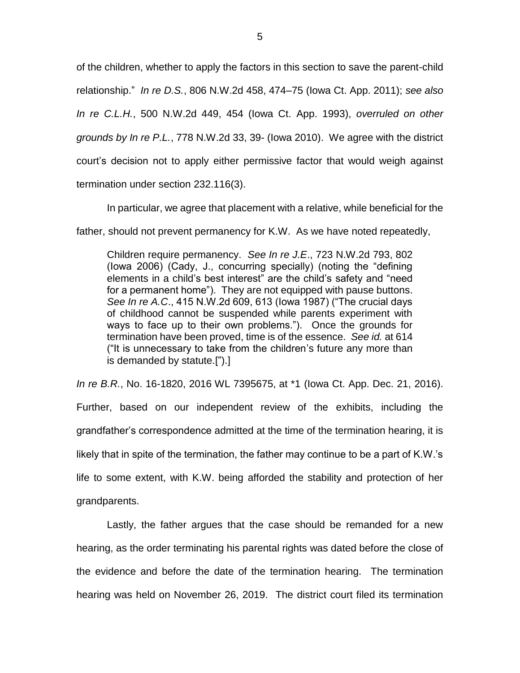of the children, whether to apply the factors in this section to save the parent-child relationship." *In re D.S.*, 806 N.W.2d 458, 474–75 (Iowa Ct. App. 2011); *see also In re C.L.H.*, 500 N.W.2d 449, 454 (Iowa Ct. App. 1993), *overruled on other grounds by In re P.L.*, 778 N.W.2d 33, 39- (Iowa 2010). We agree with the district court's decision not to apply either permissive factor that would weigh against termination under section 232.116(3).

In particular, we agree that placement with a relative, while beneficial for the

father, should not prevent permanency for K.W. As we have noted repeatedly,

Children require permanency. *See In re J.E*., 723 N.W.2d 793, 802 (Iowa 2006) (Cady, J., concurring specially) (noting the "defining elements in a child's best interest" are the child's safety and "need for a permanent home"). They are not equipped with pause buttons. *See In re A.C*., 415 N.W.2d 609, 613 (Iowa 1987) ("The crucial days of childhood cannot be suspended while parents experiment with ways to face up to their own problems."). Once the grounds for termination have been proved, time is of the essence. *See id.* at 614 ("It is unnecessary to take from the children's future any more than is demanded by statute.[").]

*In re B.R.*, No. 16-1820, 2016 WL 7395675, at \*1 (Iowa Ct. App. Dec. 21, 2016). Further, based on our independent review of the exhibits, including the grandfather's correspondence admitted at the time of the termination hearing, it is likely that in spite of the termination, the father may continue to be a part of K.W.'s life to some extent, with K.W. being afforded the stability and protection of her grandparents.

Lastly, the father argues that the case should be remanded for a new hearing, as the order terminating his parental rights was dated before the close of the evidence and before the date of the termination hearing. The termination hearing was held on November 26, 2019. The district court filed its termination